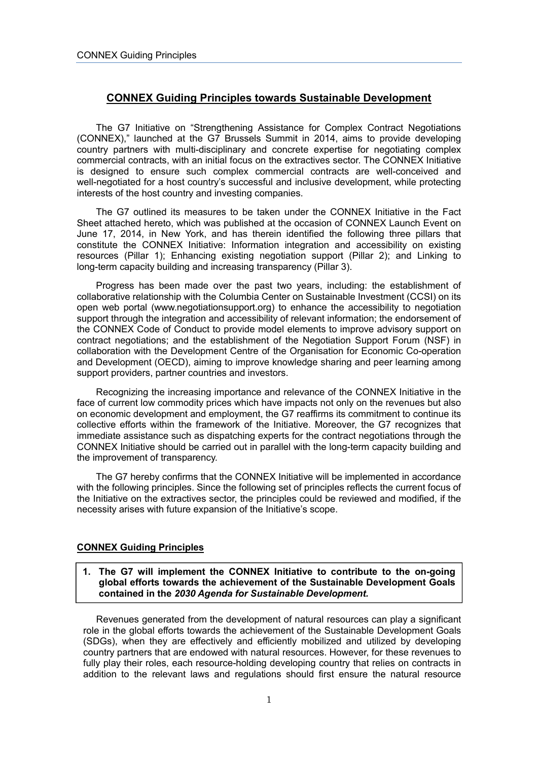# **CONNEX Guiding Principles towards Sustainable Development**

The G7 Initiative on "Strengthening Assistance for Complex Contract Negotiations (CONNEX)," launched at the G7 Brussels Summit in 2014, aims to provide developing country partners with multi-disciplinary and concrete expertise for negotiating complex commercial contracts, with an initial focus on the extractives sector. The CONNEX Initiative is designed to ensure such complex commercial contracts are well-conceived and well-negotiated for a host country's successful and inclusive development, while protecting interests of the host country and investing companies.

The G7 outlined its measures to be taken under the CONNEX Initiative in the Fact Sheet attached hereto, which was published at the occasion of CONNEX Launch Event on June 17, 2014, in New York, and has therein identified the following three pillars that constitute the CONNEX Initiative: Information integration and accessibility on existing resources (Pillar 1); Enhancing existing negotiation support (Pillar 2); and Linking to long-term capacity building and increasing transparency (Pillar 3).

Progress has been made over the past two years, including: the establishment of collaborative relationship with the Columbia Center on Sustainable Investment (CCSI) on its open web portal (www.negotiationsupport.org) to enhance the accessibility to negotiation support through the integration and accessibility of relevant information; the endorsement of the CONNEX Code of Conduct to provide model elements to improve advisory support on contract negotiations; and the establishment of the Negotiation Support Forum (NSF) in collaboration with the Development Centre of the Organisation for Economic Co-operation and Development (OECD), aiming to improve knowledge sharing and peer learning among support providers, partner countries and investors.

Recognizing the increasing importance and relevance of the CONNEX Initiative in the face of current low commodity prices which have impacts not only on the revenues but also on economic development and employment, the G7 reaffirms its commitment to continue its collective efforts within the framework of the Initiative. Moreover, the G7 recognizes that immediate assistance such as dispatching experts for the contract negotiations through the CONNEX Initiative should be carried out in parallel with the long-term capacity building and the improvement of transparency.

The G7 hereby confirms that the CONNEX Initiative will be implemented in accordance with the following principles. Since the following set of principles reflects the current focus of the Initiative on the extractives sector, the principles could be reviewed and modified, if the necessity arises with future expansion of the Initiative's scope.

#### **CONNEX Guiding Principles**

### **1. The G7 will implement the CONNEX Initiative to contribute to the on-going global efforts towards the achievement of the Sustainable Development Goals contained in the** *2030 Agenda for Sustainable Development.*

Revenues generated from the development of natural resources can play a significant role in the global efforts towards the achievement of the Sustainable Development Goals (SDGs), when they are effectively and efficiently mobilized and utilized by developing country partners that are endowed with natural resources. However, for these revenues to fully play their roles, each resource-holding developing country that relies on contracts in addition to the relevant laws and regulations should first ensure the natural resource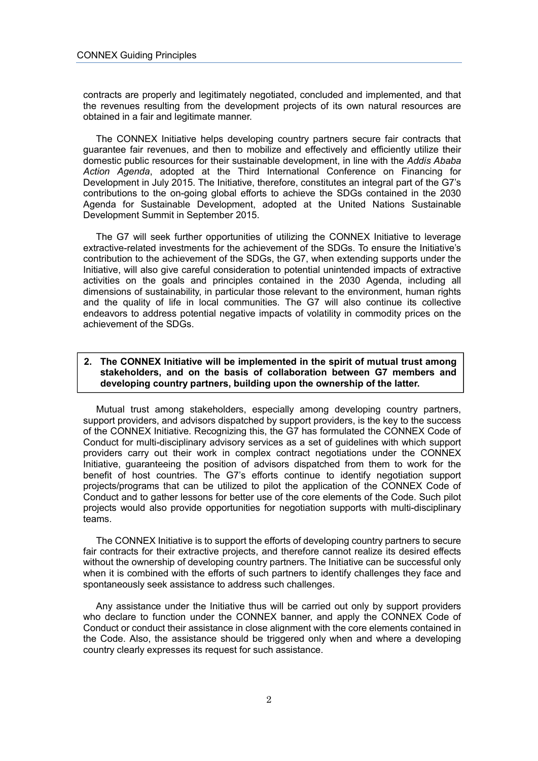contracts are properly and legitimately negotiated, concluded and implemented, and that the revenues resulting from the development projects of its own natural resources are obtained in a fair and legitimate manner.

The CONNEX Initiative helps developing country partners secure fair contracts that guarantee fair revenues, and then to mobilize and effectively and efficiently utilize their domestic public resources for their sustainable development, in line with the *Addis Ababa Action Agenda*, adopted at the Third International Conference on Financing for Development in July 2015. The Initiative, therefore, constitutes an integral part of the G7's contributions to the on-going global efforts to achieve the SDGs contained in the 2030 Agenda for Sustainable Development, adopted at the United Nations Sustainable Development Summit in September 2015.

The G7 will seek further opportunities of utilizing the CONNEX Initiative to leverage extractive-related investments for the achievement of the SDGs. To ensure the Initiative's contribution to the achievement of the SDGs, the G7, when extending supports under the Initiative, will also give careful consideration to potential unintended impacts of extractive activities on the goals and principles contained in the 2030 Agenda, including all dimensions of sustainability, in particular those relevant to the environment, human rights and the quality of life in local communities. The G7 will also continue its collective endeavors to address potential negative impacts of volatility in commodity prices on the achievement of the SDGs.

# **2. The CONNEX Initiative will be implemented in the spirit of mutual trust among stakeholders, and on the basis of collaboration between G7 members and developing country partners, building upon the ownership of the latter.**

Mutual trust among stakeholders, especially among developing country partners, support providers, and advisors dispatched by support providers, is the key to the success of the CONNEX Initiative. Recognizing this, the G7 has formulated the CONNEX Code of Conduct for multi-disciplinary advisory services as a set of guidelines with which support providers carry out their work in complex contract negotiations under the CONNEX Initiative, guaranteeing the position of advisors dispatched from them to work for the benefit of host countries. The G7's efforts continue to identify negotiation support projects/programs that can be utilized to pilot the application of the CONNEX Code of Conduct and to gather lessons for better use of the core elements of the Code. Such pilot projects would also provide opportunities for negotiation supports with multi-disciplinary teams.

The CONNEX Initiative is to support the efforts of developing country partners to secure fair contracts for their extractive projects, and therefore cannot realize its desired effects without the ownership of developing country partners. The Initiative can be successful only when it is combined with the efforts of such partners to identify challenges they face and spontaneously seek assistance to address such challenges.

Any assistance under the Initiative thus will be carried out only by support providers who declare to function under the CONNEX banner, and apply the CONNEX Code of Conduct or conduct their assistance in close alignment with the core elements contained in the Code. Also, the assistance should be triggered only when and where a developing country clearly expresses its request for such assistance.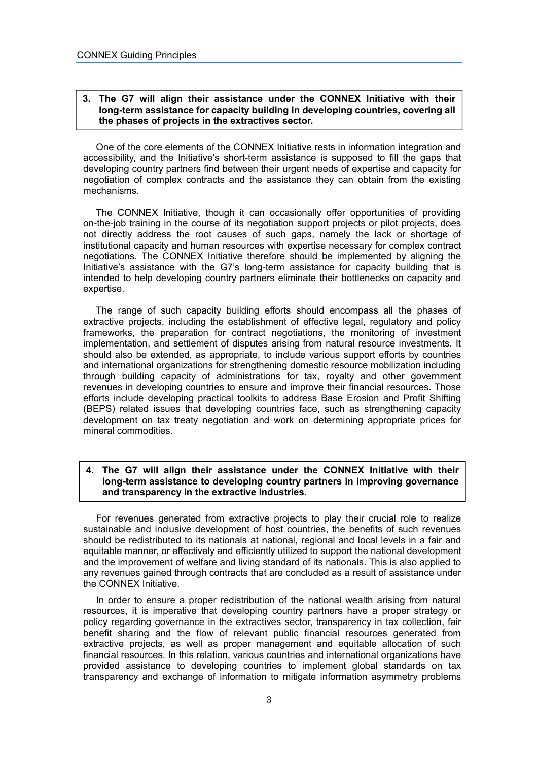### **3. The G7 will align their assistance under the CONNEX Initiative with their long-term assistance for capacity building in developing countries, covering all the phases of projects in the extractives sector.**

One of the core elements of the CONNEX Initiative rests in information integration and accessibility, and the Initiative's short-term assistance is supposed to fill the gaps that developing country partners find between their urgent needs of expertise and capacity for negotiation of complex contracts and the assistance they can obtain from the existing mechanisms.

The CONNEX Initiative, though it can occasionally offer opportunities of providing on-the-job training in the course of its negotiation support projects or pilot projects, does not directly address the root causes of such gaps, namely the lack or shortage of institutional capacity and human resources with expertise necessary for complex contract negotiations. The CONNEX Initiative therefore should be implemented by aligning the Initiative's assistance with the G7's long-term assistance for capacity building that is intended to help developing country partners eliminate their bottlenecks on capacity and expertise.

The range of such capacity building efforts should encompass all the phases of extractive projects, including the establishment of effective legal, regulatory and policy frameworks, the preparation for contract negotiations, the monitoring of investment implementation, and settlement of disputes arising from natural resource investments. It should also be extended, as appropriate, to include various support efforts by countries and international organizations for strengthening domestic resource mobilization including through building capacity of administrations for tax, royalty and other government revenues in developing countries to ensure and improve their financial resources. Those efforts include developing practical toolkits to address Base Erosion and Profit Shifting (BEPS) related issues that developing countries face, such as strengthening capacity development on tax treaty negotiation and work on determining appropriate prices for mineral commodities.

## **4. The G7 will align their assistance under the CONNEX Initiative with their long-term assistance to developing country partners in improving governance and transparency in the extractive industries.**

For revenues generated from extractive projects to play their crucial role to realize sustainable and inclusive development of host countries, the benefits of such revenues should be redistributed to its nationals at national, regional and local levels in a fair and equitable manner, or effectively and efficiently utilized to support the national development and the improvement of welfare and living standard of its nationals. This is also applied to any revenues gained through contracts that are concluded as a result of assistance under the CONNEX Initiative.

In order to ensure a proper redistribution of the national wealth arising from natural resources, it is imperative that developing country partners have a proper strategy or policy regarding governance in the extractives sector, transparency in tax collection, fair benefit sharing and the flow of relevant public financial resources generated from extractive projects, as well as proper management and equitable allocation of such financial resources. In this relation, various countries and international organizations have provided assistance to developing countries to implement global standards on tax transparency and exchange of information to mitigate information asymmetry problems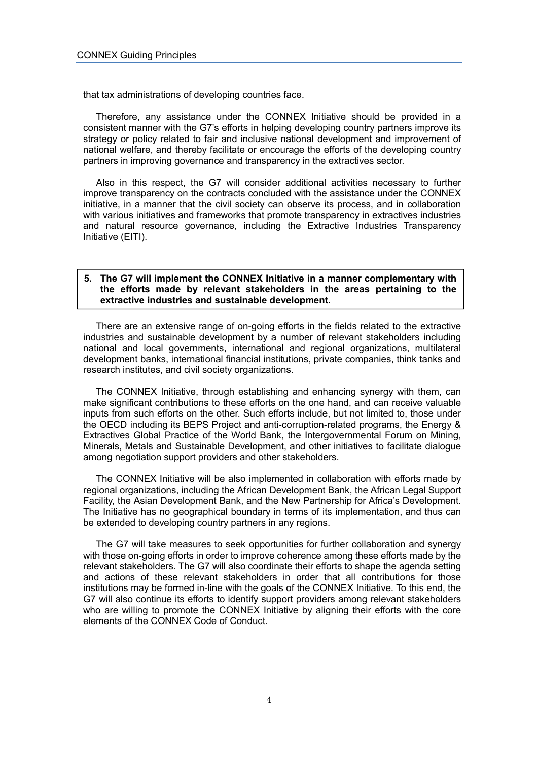that tax administrations of developing countries face.

Therefore, any assistance under the CONNEX Initiative should be provided in a consistent manner with the G7's efforts in helping developing country partners improve its strategy or policy related to fair and inclusive national development and improvement of national welfare, and thereby facilitate or encourage the efforts of the developing country partners in improving governance and transparency in the extractives sector.

Also in this respect, the G7 will consider additional activities necessary to further improve transparency on the contracts concluded with the assistance under the CONNEX initiative, in a manner that the civil society can observe its process, and in collaboration with various initiatives and frameworks that promote transparency in extractives industries and natural resource governance, including the Extractive Industries Transparency Initiative (EITI).

#### **5. The G7 will implement the CONNEX Initiative in a manner complementary with the efforts made by relevant stakeholders in the areas pertaining to the extractive industries and sustainable development.**

There are an extensive range of on-going efforts in the fields related to the extractive industries and sustainable development by a number of relevant stakeholders including national and local governments, international and regional organizations, multilateral development banks, international financial institutions, private companies, think tanks and research institutes, and civil society organizations.

The CONNEX Initiative, through establishing and enhancing synergy with them, can make significant contributions to these efforts on the one hand, and can receive valuable inputs from such efforts on the other. Such efforts include, but not limited to, those under the OECD including its BEPS Project and anti-corruption-related programs, the Energy & Extractives Global Practice of the World Bank, the Intergovernmental Forum on Mining, Minerals, Metals and Sustainable Development, and other initiatives to facilitate dialogue among negotiation support providers and other stakeholders.

The CONNEX Initiative will be also implemented in collaboration with efforts made by regional organizations, including the African Development Bank, the African Legal Support Facility, the Asian Development Bank, and the New Partnership for Africa's Development. The Initiative has no geographical boundary in terms of its implementation, and thus can be extended to developing country partners in any regions.

The G7 will take measures to seek opportunities for further collaboration and synergy with those on-going efforts in order to improve coherence among these efforts made by the relevant stakeholders. The G7 will also coordinate their efforts to shape the agenda setting and actions of these relevant stakeholders in order that all contributions for those institutions may be formed in-line with the goals of the CONNEX Initiative. To this end, the G7 will also continue its efforts to identify support providers among relevant stakeholders who are willing to promote the CONNEX Initiative by aligning their efforts with the core elements of the CONNEX Code of Conduct.